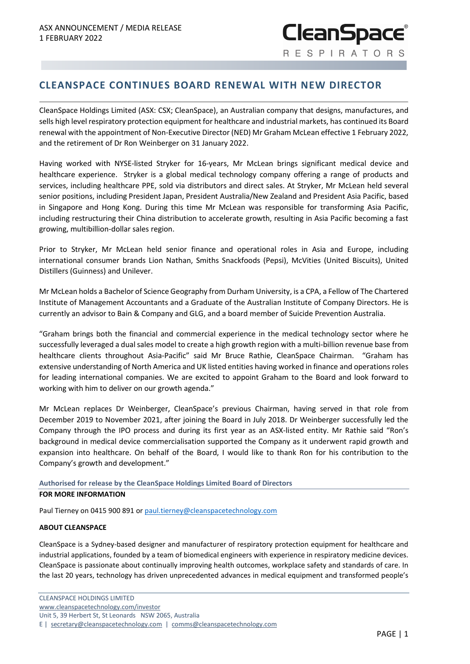## **CLEANSPACE CONTINUES BOARD RENEWAL WITH NEW DIRECTOR**

CleanSpace Holdings Limited (ASX: CSX; CleanSpace), an Australian company that designs, manufactures, and sells high level respiratory protection equipment for healthcare and industrial markets, has continued its Board renewal with the appointment of Non-Executive Director (NED) Mr Graham McLean effective 1 February 2022, and the retirement of Dr Ron Weinberger on 31 January 2022.

Having worked with NYSE-listed Stryker for 16-years, Mr McLean brings significant medical device and healthcare experience. Stryker is a global medical technology company offering a range of products and services, including healthcare PPE, sold via distributors and direct sales. At Stryker, Mr McLean held several senior positions, including President Japan, President Australia/New Zealand and President Asia Pacific, based in Singapore and Hong Kong. During this time Mr McLean was responsible for transforming Asia Pacific, including restructuring their China distribution to accelerate growth, resulting in Asia Pacific becoming a fast growing, multibillion-dollar sales region.

Prior to Stryker, Mr McLean held senior finance and operational roles in Asia and Europe, including international consumer brands Lion Nathan, Smiths Snackfoods (Pepsi), McVities (United Biscuits), United Distillers (Guinness) and Unilever.

Mr McLean holds a Bachelor of Science Geography from Durham University, is a CPA, a Fellow of The Chartered Institute of Management Accountants and a Graduate of the Australian Institute of Company Directors. He is currently an advisor to Bain & Company and GLG, and a board member of Suicide Prevention Australia.

"Graham brings both the financial and commercial experience in the medical technology sector where he successfully leveraged a dual sales model to create a high growth region with a multi-billion revenue base from healthcare clients throughout Asia-Pacific" said Mr Bruce Rathie, CleanSpace Chairman. "Graham has extensive understanding of North America and UK listed entities having worked in finance and operations roles for leading international companies. We are excited to appoint Graham to the Board and look forward to working with him to deliver on our growth agenda."

Mr McLean replaces Dr Weinberger, CleanSpace's previous Chairman, having served in that role from December 2019 to November 2021, after joining the Board in July 2018. Dr Weinberger successfully led the Company through the IPO process and during its first year as an ASX-listed entity. Mr Rathie said "Ron's background in medical device commercialisation supported the Company as it underwent rapid growth and expansion into healthcare. On behalf of the Board, I would like to thank Ron for his contribution to the Company's growth and development."

## **Authorised for release by the CleanSpace Holdings Limited Board of Directors**

## **FOR MORE INFORMATION**

Paul Tierney on 0415 900 891 o[r paul.tierney@cleanspacetechnology.com](mailto:paul.tierney@cleanspacetechnology.com.)

## **ABOUT CLEANSPACE**

CleanSpace is a Sydney-based designer and manufacturer of respiratory protection equipment for healthcare and industrial applications, founded by a team of biomedical engineers with experience in respiratory medicine devices. CleanSpace is passionate about continually improving health outcomes, workplace safety and standards of care. In the last 20 years, technology has driven unprecedented advances in medical equipment and transformed people's